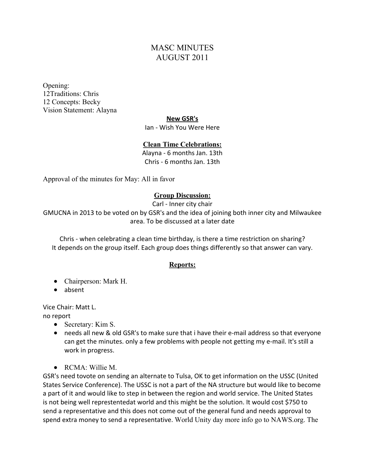# MASC MINUTES AUGUST 2011

Opening: 12Traditions: Chris 12 Concepts: Becky Vision Statement: Alayna

#### **New GSR's**

Ian - Wish You Were Here

#### **Clean Time Celebrations:**

Alayna - 6 months Jan. 13th Chris - 6 months Jan. 13th

Approval of the minutes for May: All in favor

#### **Group Discussion:**

Carl - Inner city chair

GMUCNA in 2013 to be voted on by GSR's and the idea of joining both inner city and Milwaukee area. To be discussed at a later date

Chris - when celebrating a clean time birthday, is there a time restriction on sharing? It depends on the group itself. Each group does things differently so that answer can vary.

#### **Reports:**

- Chairperson: Mark H.
- absent

Vice Chair: Matt L.

no report

- Secretary: Kim S.
- needs all new & old GSR's to make sure that i have their e-mail address so that everyone can get the minutes. only a few problems with people not getting my e-mail. It's still a work in progress.
- $\bullet$  RCMA: Willie M.

GSR's need tovote on sending an alternate to Tulsa, OK to get information on the USSC (United States Service Conference). The USSC is not a part of the NA structure but would like to become a part of it and would like to step in between the region and world service. The United States is not being well represtentedat world and this might be the solution. It would cost \$750 to send a representative and this does not come out of the general fund and needs approval to spend extra money to send a representative. World Unity day more info go to NAWS.org. The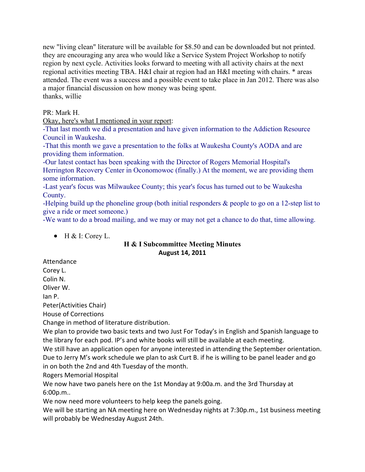new "living clean" literature will be available for \$8.50 and can be downloaded but not printed. they are encouraging any area who would like a Service System Project Workshop to notify region by next cycle. Activities looks forward to meeting with all activity chairs at the next regional activities meeting TBA. H&I chair at region had an H&I meeting with chairs. \* areas attended. The event was a success and a possible event to take place in Jan 2012. There was also a major financial discussion on how money was being spent. thanks, willie

PR: Mark H.

Okay, here's what I mentioned in your report:

-That last month we did a presentation and have given information to the Addiction Resource Council in Waukesha.

-That this month we gave a presentation to the folks at Waukesha County's AODA and are providing them information.

-Our latest contact has been speaking with the Director of Rogers Memorial Hospital's Herrington Recovery Center in Oconomowoc (finally.) At the moment, we are providing them some information.

-Last year's focus was Milwaukee County; this year's focus has turned out to be Waukesha County.

-Helping build up the phoneline group (both initial responders & people to go on a 12-step list to give a ride or meet someone.)

-We want to do a broad mailing, and we may or may not get a chance to do that, time allowing.

 $\bullet$  H & I: Corey L.

### **H & I Subcommittee Meeting Minutes August 14, 2011**

Attendance

Corey L.

Colin N.

Oliver W.

Ian P.

Peter(Activities Chair)

House of Corrections

Change in method of literature distribution.

We plan to provide two basic texts and two Just For Today's in English and Spanish language to the library for each pod. IP's and white books will still be available at each meeting.

We still have an application open for anyone interested in attending the September orientation. Due to Jerry M's work schedule we plan to ask Curt B. if he is willing to be panel leader and go in on both the 2nd and 4th Tuesday of the month.

Rogers Memorial Hospital

We now have two panels here on the 1st Monday at 9:00a.m. and the 3rd Thursday at 6:00p.m..

We now need more volunteers to help keep the panels going.

We will be starting an NA meeting here on Wednesday nights at 7:30p.m., 1st business meeting will probably be Wednesday August 24th.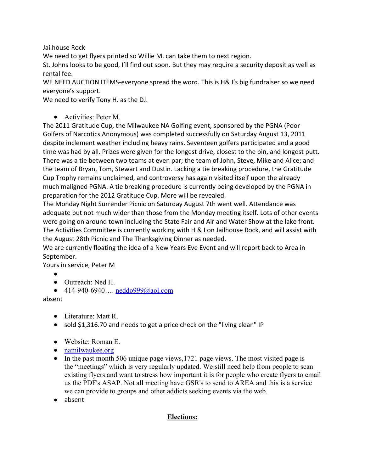Jailhouse Rock

We need to get flyers printed so Willie M. can take them to next region.

St. Johns looks to be good, I'll find out soon. But they may require a security deposit as well as rental fee.

WE NEED AUCTION ITEMS-everyone spread the word. This is H& I's big fundraiser so we need everyone's support.

We need to verify Tony H. as the DJ.

● Activities: Peter M

The 2011 Gratitude Cup, the Milwaukee NA Golfing event, sponsored by the PGNA (Poor Golfers of Narcotics Anonymous) was completed successfully on Saturday August 13, 2011 despite inclement weather including heavy rains. Seventeen golfers participated and a good time was had by all. Prizes were given for the longest drive, closest to the pin, and longest putt. There was a tie between two teams at even par; the team of John, Steve, Mike and Alice; and the team of Bryan, Tom, Stewart and Dustin. Lacking a tie breaking procedure, the Gratitude Cup Trophy remains unclaimed, and controversy has again visited itself upon the already much maligned PGNA. A tie breaking procedure is currently being developed by the PGNA in preparation for the 2012 Gratitude Cup. More will be revealed.

The Monday Night Surrender Picnic on Saturday August 7th went well. Attendance was adequate but not much wider than those from the Monday meeting itself. Lots of other events were going on around town including the State Fair and Air and Water Show at the lake front. The Activities Committee is currently working with H & I on Jailhouse Rock, and will assist with the August 28th Picnic and The Thanksgiving Dinner as needed.

We are currently floating the idea of a New Years Eve Event and will report back to Area in September.

Yours in service, Peter M

- ●
- Outreach: Ned H.
- 414-940-6940.... neddo999@aol.com

absent

- Literature: Matt R.
- sold \$1,316.70 and needs to get a price check on the "living clean" IP
- Website: Roman E.
- [namilwaukee.org](http://namilwaukee.org/)
- In the past month 506 unique page views, 1721 page views. The most visited page is the "meetings" which is very regularly updated. We still need help from people to scan existing flyers and want to stress how important it is for people who create flyers to email us the PDF's ASAP. Not all meeting have GSR's to send to AREA and this is a service we can provide to groups and other addicts seeking events via the web.
- absent

### **Elections:**